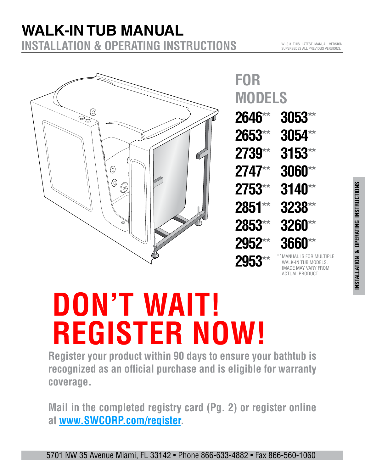#### **WALK-IN TUB MANUAL INSTALLATION & OPERATING INSTRUCTIONS WA**<br>INST **iTub**<br>TALLATION & OP



**2646**\*\* **2653**\*\* **2739**\*\* **2747**\*\* **2753**\*\* **2851**\*\* **2853**\*\* **2952**\*\* **2953**\*\* **3053**\*\* **3054**\*\* **3153**\*\* **3060**\*\* **3140**\*\* **3238**\*\* **3260**\*\* **3660**\*\* **FOR MODELS** WALK-IN TUB MODELS. \*\*

# **InstallationInstructions DON'T WAIT! REGISTER NOW!**

**Register your product within 90 days to ensure your bathtub is recognized as an official purchase and is eligible for warranty coverage.**

**Mail in the completed registry card (Pg. 2) or register online at www.SWCORP.com/register.**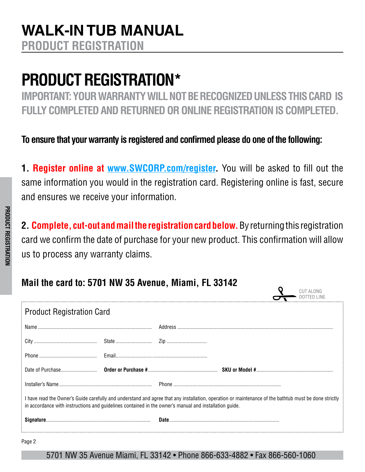## <span id="page-1-0"></span>**PRODUCT REGISTRATION\***

**IMPORTANT: YOUR WARRANTY WILL NOT BE RECOGNIZED UNLESS THIS CARD IS FULLY COMPLETED AND RETURNED OR ONLINE REGISTRATION IS COMPLETED.**

**To ensure that your warranty is registered and confirmed please do one of the following:**

**1. Register online at www.SWCORP.com/register.** You will be asked to fill out the same information you would in the registration card. Registering online is fast, secure and ensures we receive your information.

**2. Complete, cut-out and mail the registration card below.**By returning this registration card we confirm the date of purchase for your new product. This confirmation will allow us to process any warranty claims.

 $\Omega$ 

### **Mail the card to: 5701 NW 35 Avenue, Miami, FL 33142**

| <b>Product Registration Card</b>                                                                                                                                                                                                                                |  |  |  |
|-----------------------------------------------------------------------------------------------------------------------------------------------------------------------------------------------------------------------------------------------------------------|--|--|--|
|                                                                                                                                                                                                                                                                 |  |  |  |
|                                                                                                                                                                                                                                                                 |  |  |  |
|                                                                                                                                                                                                                                                                 |  |  |  |
|                                                                                                                                                                                                                                                                 |  |  |  |
|                                                                                                                                                                                                                                                                 |  |  |  |
| I have read the Owner's Guide carefully and understand and agree that any installation, operation or maintenance of the bathtub must be done strictly<br>in accordance with instructions and guidelines contained in the owner's manual and installation guide. |  |  |  |
|                                                                                                                                                                                                                                                                 |  |  |  |
| Page 2                                                                                                                                                                                                                                                          |  |  |  |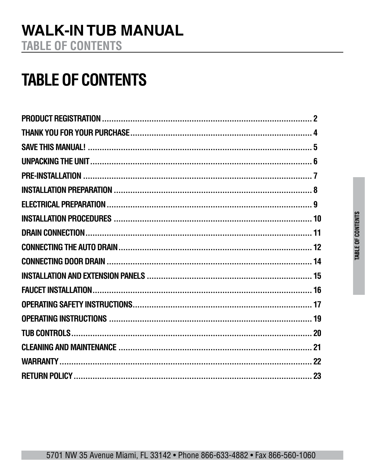## **TABLE OF CONTENTS**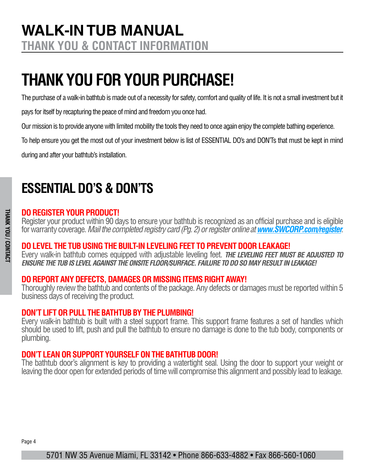## <span id="page-3-0"></span>**THANK YOU FOR YOUR PURCHASE!**

The purchase of a walk-in bathtub is made out of a necessity for safety, comfort and quality of life. It is not a small investment but it

pays for itself by recapturing the peace of mind and freedom you once had.

Our mission is to provide anyone with limited mobility the tools they need to once again enjoy the complete bathing experience.

To help ensure you get the most out of your investment below is list of ESSENTIAL DO's and DON'Ts that must be kept in mind during and after your bathtub's installation.

## **ESSENTIAL DO'S & DON'TS**

#### **DO REGISTER YOUR PRODUCT!**

Register your product within 90 days to ensure your bathtub is recognized as an official purchase and is eligible for warranty coverage. *Mail the completed registry card (Pg. 2) or register online at www.SWCORP.com/register.*

#### **DO LEVEL THE TUB USING THE BUILT-IN LEVELING FEET TO PREVENT DOOR LEAKAGE!**

Every walk-in bathtub comes equipped with adjustable leveling feet. *THE LEVELING FEET MUST BE ADJUSTED TO ENSURE THE TUB IS LEVEL AGAINST THE ONSITE FLOOR/SURFACE. FAILURE TO DO SO MAY RESULT IN LEAKAGE!*

#### **DO REPORT ANY DEFECTS, DAMAGES OR MISSING ITEMS RIGHT AWAY!**

Thoroughly review the bathtub and contents of the package. Any defects or damages must be reported within 5 business days of receiving the product.

#### **DON'T LIFT OR PULL THE BATHTUB BY THE PLUMBING!**

Every walk-in bathtub is built with a steel support frame. This support frame features a set of handles which should be used to lift, push and pull the bathtub to ensure no damage is done to the tub body, components or plumbing.

#### **DON'T LEAN OR SUPPORT YOURSELF ON THE BATHTUB DOOR!**

The bathtub door's alignment is key to providing a watertight seal. Using the door to support your weight or leaving the door open for extended periods of time will compromise this alignment and possibly lead to leakage.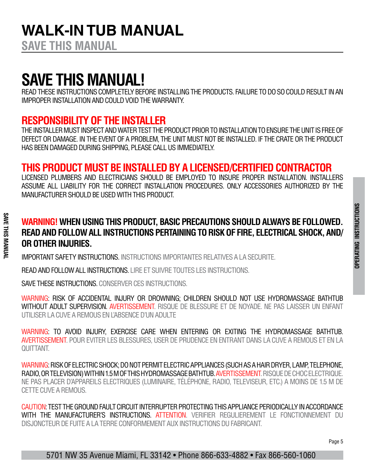**SAVE THIS MANUAL**

**SAVE THIS MANUAL**

**SAVE THIS MANUAI** 

## **SAVE THIS MANUAL!**

READ THESE INSTRUCTIONS COMPLETELY BEFORE INSTALLING THE PRODUCTS. FAILURE TO DO SO COULD RESULT IN AN IMPROPER INSTALLATION AND COULD VOID THE WARRANTY.

### **RESPONSIBILITY OF THE INSTALLER**

THE INSTALLER MUST INSPECT AND WATER TEST THE PRODUCT PRIOR TO INSTALLATION TO ENSURE THE UNIT IS FREE OF DEFECT OR DAMAGE. IN THE EVENT OF A PROBLEM, THE UNIT MUST NOT BE INSTALLED. IF THE CRATE OR THE PRODUCT HAS BEEN DAMAGED DURING SHIPPING, PLEASE CALL US IMMEDIATELY.

### **THIS PRODUCT MUST BE INSTALLED BY A LICENSED/CERTIFIED CONTRACTOR**

LICENSED PLUMBERS AND ELECTRICIANS SHOULD BE EMPLOYED TO INSURE PROPER INSTALLATION. INSTALLERS ASSUME ALL LIABILITY FOR THE CORRECT INSTALLATION PROCEDURES. ONLY ACCESSORIES AUTHORIZED BY THE MANUFACTURER SHOULD BE USED WITH THIS PRODUCT.

### **WARNING! WHEN USING THIS PRODUCT, BASIC PRECAUTIONS SHOULD ALWAYS BE FOLLOWED. READ AND FOLLOW ALL INSTRUCTIONS PERTAINING TO RISK OF FIRE, ELECTRICAL SHOCK, AND/ OR OTHER INJURIES.**

IMPORTANT SAFETY INSTRUCTIONS. INSTRUCTIONS IMPORTANTES RELATIVES A LA SECURITE.

READ AND FOLLOW ALL INSTRUCTIONS. LIRE ET SUIVRE TOUTES LES INSTRUCTIONS.

SAVE THESE INSTRUCTIONS. CONSERVER CES INSTRUCTIONS.

WARNING: RISK OF ACCIDENTAL INJURY OR DROWNING; CHILDREN SHOULD NOT USE HYDROMASSAGE BATHTUB WITHOUT ADULT SUPERVISION. AVERTISSEMENT. RISQUE DE BLESSURE ET DE NOYADE. NE PAS LAISSER UN ENFANT UTILISER LA CUVE A REMOUS EN L'ABSENCE D'UN ADULTE

WARNING: TO AVOID INJURY, EXERCISE CARE WHEN ENTERING OR EXITING THE HYDROMASSAGE BATHTUB. AVERTISSEMENT. POUR EVITER LES BLESSURES, USER DE PRUDENCE EN ENTRANT DANS LA CUVE A REMOUS ET EN LA QUITTANT.

WARNING: RISK OF ELECTRIC SHOCK; DO NOT PERMIT ELECTRIC APPLIANCES (SUCH AS A HAIR DRYER, LAMP, TELEPHONE, RADIO, OR TELEVISION) WITHIN 1.5 M OF THIS HYDROMASSAGE BATHTUB. AVERTISSEMENT. RISQUE DE CHOC ELECTRIQUE. NE PAS PLACER D'APPAREILS ELECTRIQUES (LUMINAIRE, TÉLÉPHONE, RADIO, TELEVISEUR, ETC.) A MOINS DE 1.5 M DE CETTE CUVE A REMOUS.

CAUTION: TEST THE GROUND FAULT CIRCUIT INTERRUPTER PROTECTING THIS APPLIANCE PERIODICALLY IN ACCORDANCE WITH THE MANUFACTURER'S INSTRUCTIONS. ATTENTION. VERIFIER REGULIEREMENT LE FONCTIONNEMENT DU DISJONCTEUR DE FUITE A LA TERRE CONFORMEMENT AUX INSTRUCTIONS DU FABRICANT.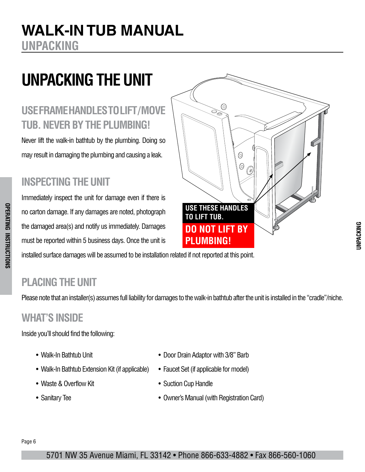### <span id="page-5-0"></span>**WALK-IN TUB MANUAL<br>UNPACKING UNPACKING i**

## **UNPACKING THE UNIT**

### **USE FRAME HANDLES TO LIFT / MOVE TUB. NEVER BY THE PLUMBING!**

Never lift the walk-in bathtub by the plumbing. Doing so may result in damaging the plumbing and causing a leak.

### **INSPECTING THE UNIT**

Immediately inspect the unit for damage even if there is no carton damage. If any damages are noted, photograph the damaged area(s) and notify us immediately. Damages must be reported within 5 business days. Once the unit is reation darhage. If any darhages are noted, photog<br>e damaged area(s) and notify us immediately. Dam



installed surface damages will be assumed to be installation related if not reported at this point. ust be reported within 5 bushless days. Once the unit is **Installect of LOMDING:**<br>Installed surface damages will be assumed to be installation related if not reported at this point.

### **PLACING THE UNIT**

**OPERATING INSTRUCTIONS**

**OPERATING INSTRUCTIONS** 

Please note that an installer(s) assumes full liability for damages to the walk-in bathtub after the unit is installed in the "cradle"/niche.

### **WHAT'S INSIDE**

Inside you'll should find the following:

- Walk-In Bathtub Unit
- Walk-In Bathtub Extension Kit (if applicable)
- Waste & Overflow Kit
- Sanitary Tee
- Door Drain Adaptor with 3/8" Barb
- Faucet Set (if applicable for model)
- Suction Cup Handle
- **P:**  $\frac{1}{8}$  when 9 manual (mannopolitation band) end avenue, Valley Strem Production Avenue, Valley Strem Neumann.<br>• Owner's Manual (with Registration Card)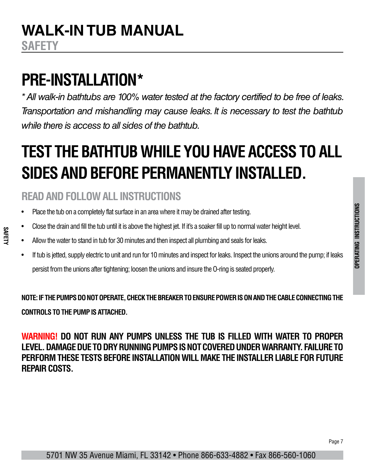## <span id="page-6-0"></span>**PRE-INSTALLATION\***

*\* All walk-in bathtubs are 100% water tested at the factory certified to be free of leaks. Transportation and mishandling may cause leaks. It is necessary to test the bathtub while there is access to all sides of the bathtub.*

## **TEST THE BATHTUB WHILE YOU HAVE ACCESS TO ALL SIDES AND BEFORE PERMANENTLY INSTALLED.**

### **READ AND FOLLOW ALL INSTRUCTIONS**

**SAFETY**

- Place the tub on a completely flat surface in an area where it may be drained after testing.
- Close the drain and fill the tub until it is above the highest jet. If it's a soaker fill up to normal water height level.
- Allow the water to stand in tub for 30 minutes and then inspect all plumbing and seals for leaks.
- If tub is jetted, supply electric to unit and run for 10 minutes and inspect for leaks. Inspect the unions around the pump; if leaks persist from the unions after tightening; loosen the unions and insure the O-ring is seated properly.

**NOTE: IF THE PUMPS DO NOT OPERATE, CHECK THE BREAKER TO ENSURE POWER IS ON AND THE CABLE CONNECTING THE CONTROLS TO THE PUMP IS ATTACHED.**

**WARNING! DO NOT RUN ANY PUMPS UNLESS THE TUB IS FILLED WITH WATER TO PROPER LEVEL. DAMAGE DUE TO DRY RUNNING PUMPS IS NOT COVERED UNDER WARRANTY. FAILURE TO PERFORM THESE TESTS BEFORE INSTALLATION WILL MAKE THE INSTALLER LIABLE FOR FUTURE REPAIR COSTS.**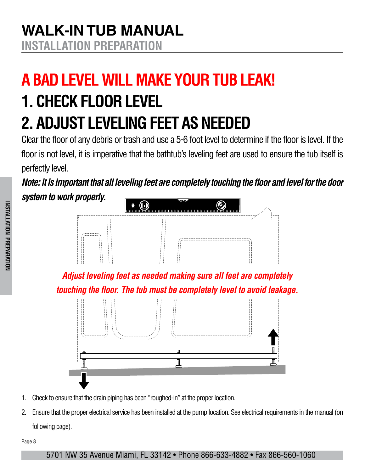# <span id="page-7-0"></span>**A BAD LEVEL WILL MAKE YOUR TUB LEAK! 1. CHECK FLOOR LEVEL 2. ADJUST LEVELING FEET AS NEEDED**

Clear the floor of any debris or trash and use a 5-6 foot level to determine if the floor is level. If the floor is not level, it is imperative that the bathtub's leveling feet are used to ensure the tub itself is perfectly level.

*Note: it is important that all leveling feet are completely touching the floor and level for the door system to work properly.*



*Adjust leveling feet as needed making sure all feet are completely touching the floor. The tub must be completely level to avoid leakage.*



- 1. Check to ensure that the drain piping has been "roughed-in" at the proper location.
- 2. Ensure that the proper electrical service has been installed at the pump location. See electrical requirements in the manual (on following page).

Page 8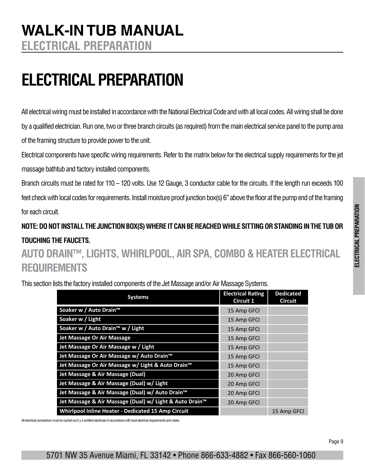# <span id="page-8-0"></span>**ELECTRICAL PREPARATION**

All electrical wiring must be installed in accordance with the National Electrical Code and with all local codes. All wiring shall be done by a qualified electrician. Run one, two or three branch circuits (as required) from the main electrical service panel to the pump area of the framing structure to provide power to the unit.

Electrical components have specific wiring requirements. Refer to the matrix below for the electrical supply requirements for the jet massage bathtub and factory installed components.

Branch circuits must be rated for 110 – 120 volts. Use 12 Gauge, 3 conductor cable for the circuits. If the length run exceeds 100 feet check with local codes for requirements. Install moisture proof junction box(s) 6" above the floor at the pump end of the framing for each circuit.

**NOTE: DO NOT INSTALL THE JUNCTION BOX(S) WHERE IT CAN BE REACHED WHILE SITTING OR STANDING IN THE TUB OR TOUCHING THE FAUCETS.**

**AUTO DRAIN™, LIGHTS, WHIRLPOOL, AIR SPA, COMBO & HEATER ELECTRICAL REQUIREMENTS**

This section lists the factory installed components of the Jet Massage and/or Air Massage Systems.

| <b>Systems</b>                                            | <b>Electrical Rating</b><br>Circuit 1 | <b>Dedicated</b><br><b>Circuit</b> |
|-----------------------------------------------------------|---------------------------------------|------------------------------------|
| Soaker w / Auto Drain™                                    | 15 Amp GFCI                           |                                    |
| Soaker w / Light                                          | 15 Amp GFCI                           |                                    |
| Soaker w / Auto Drain <sup>™</sup> w / Light              | 15 Amp GFCI                           |                                    |
| Jet Massage Or Air Massage                                | 15 Amp GFCI                           |                                    |
| Jet Massage Or Air Massage w / Light                      | 15 Amp GFCI                           |                                    |
| Jet Massage Or Air Massage w/ Auto Drain <sup>™</sup>     | 15 Amp GFCI                           |                                    |
| Jet Massage Or Air Massage w/ Light & Auto Drain™         | 15 Amp GFCI                           |                                    |
| Jet Massage & Air Massage (Dual)                          | 20 Amp GFCI                           |                                    |
| Jet Massage & Air Massage (Dual) w/ Light                 | 20 Amp GFCI                           |                                    |
| Jet Massage & Air Massage (Dual) w/ Auto Drain™           | 20 Amp GFCI                           |                                    |
| Jet Massage & Air Massage (Dual) w/ Light & Auto Drain™   | 20 Amp GFCI                           |                                    |
| <b>Whirlpool Inline Heater - Dedicated 15 Amp Circuit</b> |                                       | 15 Amp GFCI                        |

All electrical connections must be carried out b y a certified electrician in accordance with local electrical requirements and codes.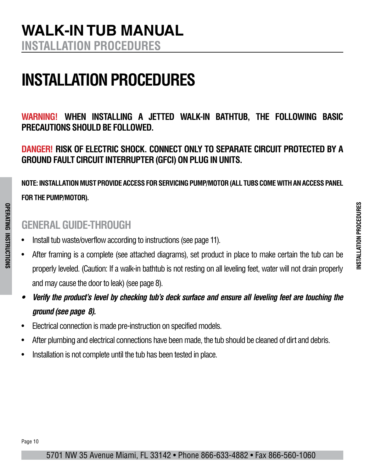## <span id="page-9-0"></span>**WALK-IN TUB MANUAL INSTALLATION PROCEDURES**

# **INSTALLATION PROCEDURES**

**WARNING! WHEN INSTALLING A JETTED WALK-IN BATHTUB, THE FOLLOWING BASIC PRECAUTIONS SHOULD BE FOLLOWED.**

**DANGER! RISK OF ELECTRIC SHOCK. CONNECT ONLY TO SEPARATE CIRCUIT PROTECTED BY A GROUND FAULT CIRCUIT INTERRUPTER (GFCI) ON PLUG IN UNITS.**

**NOTE: INSTALLATION MUST PROVIDE ACCESS FOR SERVICING PUMP/MOTOR (ALL TUBS COME WITH AN ACCESS PANEL FOR THE PUMP/MOTOR).** 

### **GENERAL GUIDE-THROUGH**

- Install tub waste/overflow according to instructions (see page 11).
- After framing is a complete (see attached diagrams), set product in place to make certain the tub can be properly leveled. (Caution: If a walk-in bathtub is not resting on all leveling feet, water will not drain properly and may cause the door to leak) (see page 8).
- *• Verify the product's level by checking tub's deck surface and ensure all leveling feet are touching the ground (see page 8).*
- Electrical connection is made pre-instruction on specified models.
- After plumbing and electrical connections have been made, the tub should be cleaned of dirt and debris.
- Installation is not complete until the tub has been tested in place.

**OPERATING INSTRUCTIONS**

**OPERATING INSTRUCTIONS**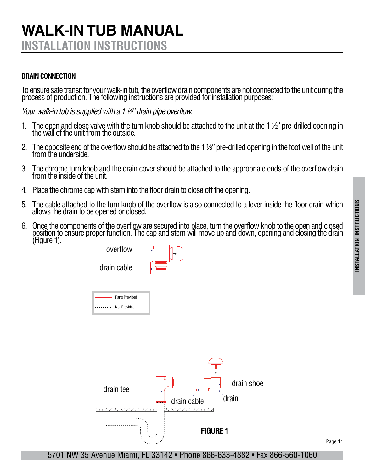### <span id="page-10-0"></span>**WALK-IN TUB MANUAL INSTALLATION INSTRUCTIONS**

#### **DRAIN CONNECTION**

To ensure safe transit for your walk-in tub, the overflow drain components are not connected to the unit during the process of production. The following instructions are provided for installation purposes:

*Your walk-in tub is supplied with a 1 ½" drain pipe overflow.*

- 1. The open and close valve with the turn knob should be attached to the unit at the 1 ½" pre-drilled opening in the wall of the unit from the outside.
- 2. The opposite end of the overflow should be attached to the 1  $\frac{1}{2}$ " pre-drilled opening in the foot well of the unit from the underside.
- 3. The chrome turn knob and the drain cover should be attached to the appropriate ends of the overflow drain from the inside of the unit.
- 4. Place the chrome cap with stem into the floor drain to close off the opening.
- 5. The cable attached to the turn knob of the overflow is also connected to a lever inside the floor drain which allows the drain to be opened or closed.
- 6. Once the components of the overflow are secured into place, turn the overflow knob to the open and closed position to ensure proper function. The cap and stem will move up and down, opening and closing the drain (Figure 1).



Page 11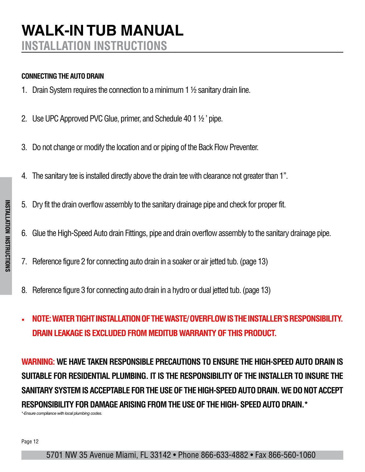#### <span id="page-11-0"></span>**CONNECTING THE AUTO DRAIN**

- 1. Drain System requires the connection to a minimum 1 ½ sanitary drain line.
- 2. Use UPC Approved PVC Glue, primer, and Schedule 40 1 ½ ' pipe.
- 3. Do not change or modify the location and or piping of the Back Flow Preventer.
- 4. The sanitary tee is installed directly above the drain tee with clearance not greater than 1''.
- 5. Dry fit the drain overflow assembly to the sanitary drainage pipe and check for proper fit.
- 6. Glue the High-Speed Auto drain Fittings, pipe and drain overflow assembly to the sanitary drainage pipe.
- 7. Reference figure 2 for connecting auto drain in a soaker or air jetted tub. (page 13)
- 8. Reference figure 3 for connecting auto drain in a hydro or dual jetted tub. (page 13)
- **NOTE: WATER TIGHT INSTALLATION OF THE WASTE/ OVERFLOW IS THE INSTALLER'S RESPONSIBILITY. DRAIN LEAKAGE IS EXCLUDED FROM MEDITUB WARRANTY OF THIS PRODUCT.**

**WARNING: WE HAVE TAKEN RESPONSIBLE PRECAUTIONS TO ENSURE THE HIGH-SPEED AUTO DRAIN IS SUITABLE FOR RESIDENTIAL PLUMBING. IT IS THE RESPONSIBILITY OF THE INSTALLER TO INSURE THE SANITARY SYSTEM IS ACCEPTABLE FOR THE USE OF THE HIGH-SPEED AUTO DRAIN. WE DO NOT ACCEPT RESPONSIBILITY FOR DAMAGE ARISING FROM THE USE OF THE HIGH- SPEED AUTO DRAIN.\*** *\*-Ensure compliance with local plumbing codes.*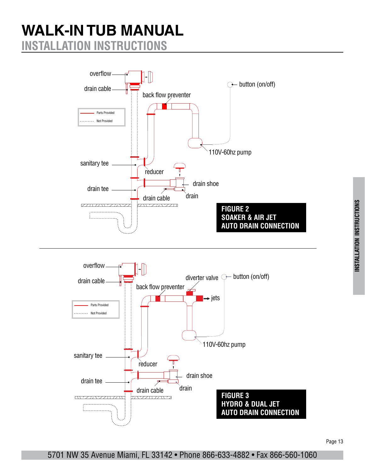## **WALK-IN TUB MANUAL INSTALLATION INSTRUCTIONS**



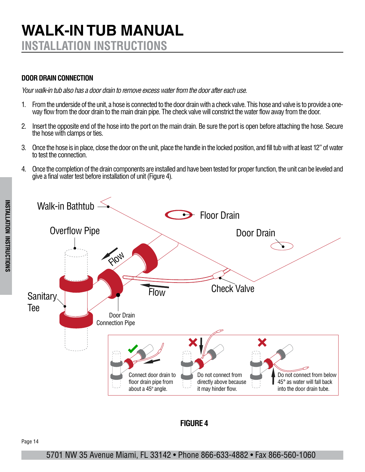## **WALK-IN TUB MANUAL INSTALLATION INSTRUCTIONS**

#### **DOOR DRAIN CONNECTION**

*Your walk-in tub also has a door drain to remove excess water from the door after each use.*

- 1. From the underside of the unit, a hose is connected to the door drain with a check valve. This hose and valve is to provide a oneway flow from the door drain to the main drain pipe. The check valve will constrict the water flow away from the door.
- 2. Insert the opposite end of the hose into the port on the main drain. Be sure the port is open before attaching the hose. Secure the hose with clamps or ties.
- 3. Once the hose is in place, close the door on the unit, place the handle in the locked position, and fill tub with at least 12" of water to test the connection.
- 4. Once the completion of the drain components are installed and have been tested for proper function, the unit can be leveled and give a final water test before installation of unit (Figure 4).



#### **FIGURE 4**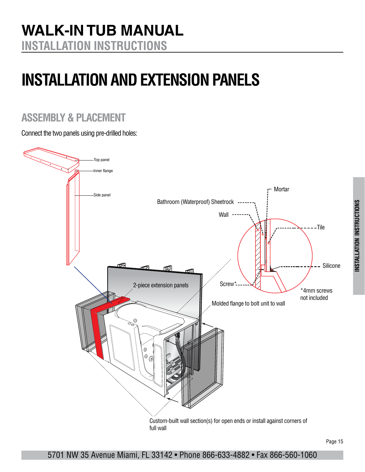# <span id="page-14-0"></span>**INSTALLATION AND EXTENSION PANELS**

### **ASSEMBLY & PLACEMENT**

Connect the two panels using pre-drilled holes:

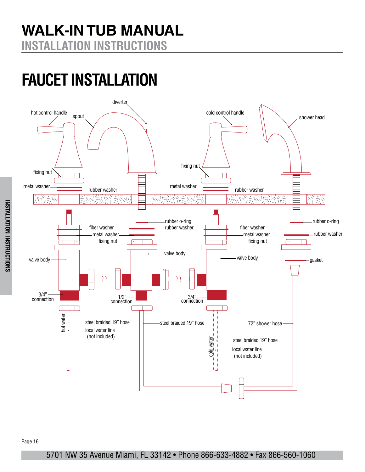## <span id="page-15-0"></span>**FAUCET INSTALLATION**

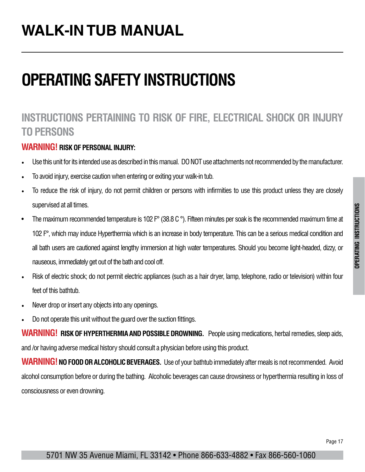## <span id="page-16-0"></span>**WALK-IN TUB MANUAL**

## **OPERATING SAFETY INSTRUCTIONS**

### **INSTRUCTIONS PERTAINING TO RISK OF FIRE, ELECTRICAL SHOCK OR INJURY TO PERSONS**

#### **WARNING! RISK OF PERSONAL INJURY:**

- Use this unit for its intended use as described in this manual. DO NOT use attachments not recommended by the manufacturer.
- To avoid injury, exercise caution when entering or exiting your walk-in tub.
- To reduce the risk of injury, do not permit children or persons with infirmities to use this product unless they are closely supervised at all times.
- The maximum recommended temperature is 102 F° (38.8 C °). Fifteen minutes per soak is the recommended maximum time at 102 F°, which may induce Hyperthermia which is an increase in body temperature. This can be a serious medical condition and all bath users are cautioned against lengthy immersion at high water temperatures. Should you become light-headed, dizzy, or nauseous, immediately get out of the bath and cool off.
- Risk of electric shock; do not permit electric appliances (such as a hair dryer, lamp, telephone, radio or television) within four feet of this bathtub.
- Never drop or insert any objects into any openings.
- Do not operate this unit without the guard over the suction fittings.

**WARNING! RISK OF HYPERTHERMIA AND POSSIBLE DROWNING.** People using medications, herbal remedies, sleep aids, and /or having adverse medical history should consult a physician before using this product.

**WARNING! NO FOOD OR ALCOHOLIC BEVERAGES.** Use of your bathtub immediately after meals is not recommended. Avoid alcohol consumption before or during the bathing. Alcoholic beverages can cause drowsiness or hyperthermia resulting in loss of consciousness or even drowning.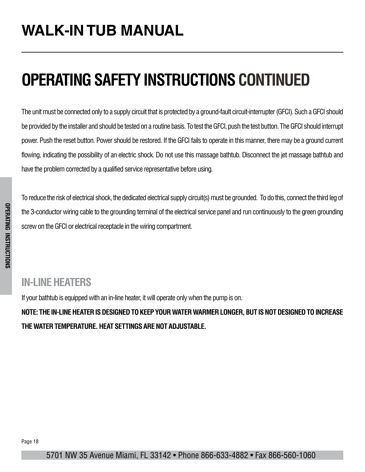# **OPERATING SAFETY INSTRUCTIONS CONTINUED**

The unit must be connected only to a supply circuit that is protected by a ground-fault circuit-interrupter (GFCI). Such a GFCI should be provided by the installer and should be tested on a routine basis. To test the GFCI, push the test button. The GFCI should interrupt power. Push the reset button. Power should be restored. If the GFCI fails to operate in this manner, there may be a ground current flowing, indicating the possibility of an electric shock. Do not use this massage bathtub. Disconnect the jet massage bathtub and have the problem corrected by a qualified service representative before using.

To reduce the risk of electrical shock, the dedicated electrical supply circuit(s) must be grounded. To do this, connect the third leg of the 3-conductor wiring cable to the grounding terminal of the electrical service panel and run continuously to the green grounding screw on the GFCI or electrical receptacle in the wiring compartment.

### **IN-LINE HEATERS**

If your bathtub is equipped with an in-line heater, it will operate only when the pump is on.

**NOTE: THE IN-LINE HEATER IS DESIGNED TO KEEP YOUR WATER WARMER LONGER, BUT IS NOT DESIGNED TO INCREASE THE WATER TEMPERATURE. HEAT SETTINGS ARE NOT ADJUSTABLE.**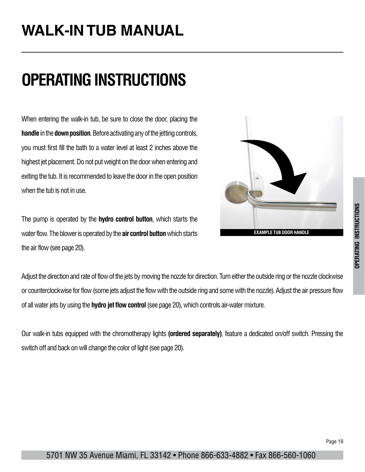## <span id="page-18-0"></span>**WALK-IN TUB MANUAL**

## **OPERATING INSTRUCTIONS**

When entering the walk-in tub, be sure to close the door, placing the **handle** in the **down position**. Before activating any of the jetting controls, you must first fill the bath to a water level at least 2 inches above the highest jet placement. Do not put weight on the door when entering and exiting the tub. It is recommended to leave the door in the open position when the tub is not in use.

The pump is operated by the **hydro control button**, which starts the water flow. The blower is operated by the **air control button** which starts the air flow (see page 20).



Adjust the direction and rate of flow of the jets by moving the nozzle for direction. Turn either the outside ring or the nozzle clockwise or counterclockwise for flow (some jets adjust the flow with the outside ring and some with the nozzle). Adjust the air pressure flow of all water jets by using the **hydro jet flow control** (see page 20), which controls air-water mixture.

Our walk-in tubs equipped with the chromotherapy lights **(ordered separately)**, feature a dedicated on/off switch. Pressing the switch off and back on will change the color of light (see page 20).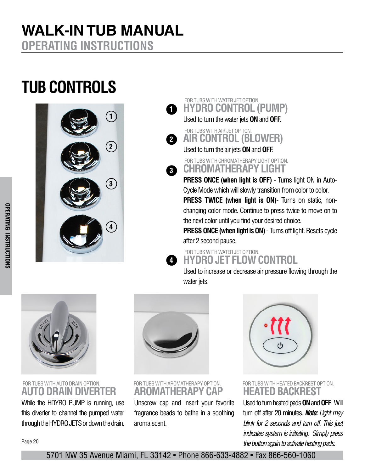## **TUB CONTROLS**



#### **HYDRO CONTROL (PUMP)** FOR TUBS WITH WATER JET OPTION. **1**

Used to turn the water jets **ON** and **OFF**.



Used to turn the air jets **ON** and **OFF**.

**CHROMATHERAPY LIGHT** FOR TUBS WITH CHROMATHERAPY LIGHT OPTION.

**PRESS ONCE (when light is OFF)** - Turns light ON in Auto-Cycle Mode which will slowly transition from color to color. **PRESS TWICE (when light is ON)**- Turns on static, nonchanging color mode. Continue to press twice to move on to the next color until you find your desired choice.

**PRESS ONCE (when light is ON)** - Turns off light. Resets cycle after 2 second pause.

**HYDRO JET FLOW CONTROL** FOR TUBS WITH WATER JET OPTION. **4**

Used to increase or decrease air pressure flowing through the water jets.



#### FOR TUBS WITH AUTO DRAIN OPTION. FOR TUBS WITH AROMATHERAPY OPTION. FOR TUBS WITH HEATED BACKREST OPTION. **AUTO DRAIN DIVERTER**

While the HDYRO PUMP is running, use this diverter to channel the pumped water through the HYDRO JETS or down the drain.



**3**

**AROMATHERAPY CAP**

Unscrew cap and insert your favorite fragrance beads to bathe in a soothing aroma scent.



**HEATED BACKREST**

Used to turn heated pads **ON** and **OFF**. Will turn off after 20 minutes. *Note: Light may blink for 2 seconds and turn off. This just indicates system is initiating. Simply press the button again to activate heating pads.*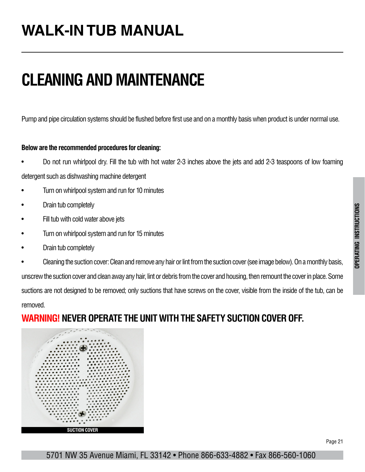#### Page 21

**OPERATING INSTRUCTIONS**

**OPERATING INSTRUCTIONS** 

#### 5701 NW 35 Avenue Miami, FL 33142 • Phone 866-633-4882 • Fax 866-560-1060

# <span id="page-20-0"></span>**CLEANING AND MAINTENANCE**

Pump and pipe circulation systems should be flushed before first use and on a monthly basis when product is under normal use.

#### **Below are the recommended procedures for cleaning:**

- Do not run whirlpool dry. Fill the tub with hot water 2-3 inches above the jets and add 2-3 teaspoons of low foaming detergent such as dishwashing machine detergent
- Turn on whirlpool system and run for 10 minutes
- Drain tub completely
- Fill tub with cold water above jets
- Turn on whirlpool system and run for 15 minutes
- Drain tub completely
- Cleaning the suction cover: Clean and remove any hair or lint from the suction cover (see image below). On a monthly basis, unscrew the suction cover and clean away any hair, lint or debris from the cover and housing, then remount the cover in place. Some suctions are not designed to be removed; only suctions that have screws on the cover, visible from the inside of the tub, can be

removed.

### **WARNING!NEVER OPERATE THE UNIT WITH THE SAFETY SUCTION COVER OFF.**

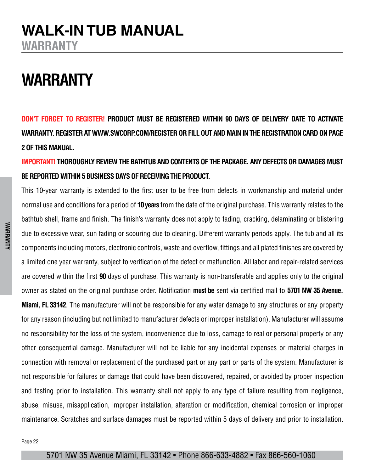## <span id="page-21-0"></span>**WALK-IN TUB MANUAL WARRANTY**

## **WARRANTY**

**DON'T FORGET TO REGISTER! PRODUCT MUST BE REGISTERED WITHIN 90 DAYS OF DELIVERY DATE TO ACTIVATE WARRANTY. REGISTER AT WWW.SWCORP.COM/REGISTER OR FILL OUT AND MAIN IN THE REGISTRATION CARD ON PAGE 2 OF THIS MANUAL.** 

#### **IMPORTANT! THOROUGHLY REVIEW THE BATHTUB AND CONTENTS OF THE PACKAGE. ANY DEFECTS OR DAMAGES MUST BE REPORTED WITHIN 5 BUSINESS DAYS OF RECEIVING THE PRODUCT.**

This 10-year warranty is extended to the first user to be free from defects in workmanship and material under normal use and conditions for a period of **10 years** from the date of the original purchase. This warranty relates to the bathtub shell, frame and finish. The finish's warranty does not apply to fading, cracking, delaminating or blistering due to excessive wear, sun fading or scouring due to cleaning. Different warranty periods apply. The tub and all its components including motors, electronic controls, waste and overflow, fittings and all plated finishes are covered by a limited one year warranty, subject to verification of the defect or malfunction. All labor and repair-related services are covered within the first **90** days of purchase. This warranty is non-transferable and applies only to the original owner as stated on the original purchase order. Notification **must be** sent via certified mail to **5701 NW 35 Avenue. Miami, FL 33142**. The manufacturer will not be responsible for any water damage to any structures or any property for any reason (including but not limited to manufacturer defects or improper installation). Manufacturer will assume no responsibility for the loss of the system, inconvenience due to loss, damage to real or personal property or any other consequential damage. Manufacturer will not be liable for any incidental expenses or material charges in connection with removal or replacement of the purchased part or any part or parts of the system. Manufacturer is not responsible for failures or damage that could have been discovered, repaired, or avoided by proper inspection and testing prior to installation. This warranty shall not apply to any type of failure resulting from negligence, abuse, misuse, misapplication, improper installation, alteration or modification, chemical corrosion or improper maintenance. Scratches and surface damages must be reported within 5 days of delivery and prior to installation.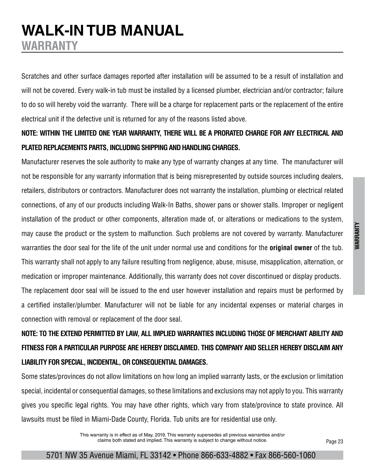### WARRANTY **WARRANTY**

### **WALK-IN TUB MANUAL WARRANTY**

Scratches and other surface damages reported after installation will be assumed to be a result of installation and will not be covered. Every walk-in tub must be installed by a licensed plumber, electrician and/or contractor; failure to do so will hereby void the warranty. There will be a charge for replacement parts or the replacement of the entire electrical unit if the defective unit is returned for any of the reasons listed above.

#### **NOTE: WITHIN THE LIMITED ONE YEAR WARRANTY, THERE WILL BE A PRORATED CHARGE FOR ANY ELECTRICAL AND PLATED REPLACEMENTS PARTS, INCLUDING SHIPPING AND HANDLING CHARGES.**

Manufacturer reserves the sole authority to make any type of warranty changes at any time. The manufacturer will not be responsible for any warranty information that is being misrepresented by outside sources including dealers, retailers, distributors or contractors. Manufacturer does not warranty the installation, plumbing or electrical related connections, of any of our products including Walk-In Baths, shower pans or shower stalls. Improper or negligent installation of the product or other components, alteration made of, or alterations or medications to the system, may cause the product or the system to malfunction. Such problems are not covered by warranty. Manufacturer warranties the door seal for the life of the unit under normal use and conditions for the **original owner** of the tub. This warranty shall not apply to any failure resulting from negligence, abuse, misuse, misapplication, alternation, or medication or improper maintenance. Additionally, this warranty does not cover discontinued or display products. The replacement door seal will be issued to the end user however installation and repairs must be performed by a certified installer/plumber. Manufacturer will not be liable for any incidental expenses or material charges in connection with removal or replacement of the door seal.

### **NOTE: TO THE EXTEND PERMITTED BY LAW, ALL IMPLIED WARRANTIES INCLUDING THOSE OF MERCHANT ABILITY AND FITNESS FOR A PARTICULAR PURPOSE ARE HEREBY DISCLAIMED. THIS COMPANY AND SELLER HEREBY DISCLAIM ANY LIABILITY FOR SPECIAL, INCIDENTAL, OR CONSEQUENTIAL DAMAGES.**

Some states/provinces do not allow limitations on how long an implied warranty lasts, or the exclusion or limitation special, incidental or consequential damages, so these limitations and exclusions may not apply to you. This warranty gives you specific legal rights. You may have other rights, which vary from state/province to state province. All lawsuits must be filed in Miami-Dade County, Florida. Tub units are for residential use only.

> This warranty is in effect as of May, 2019. This warranty supersedes all previous warranties and/or claims both stated and implied. This warranty is subject to change without notice.